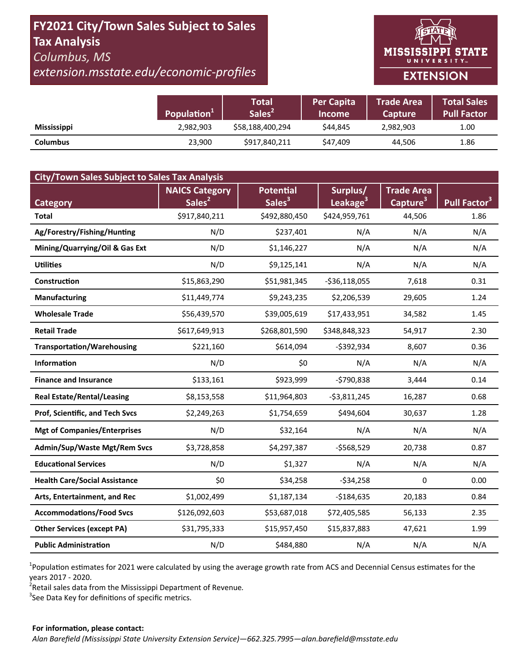# FY2021 City/Town Sales Subject to Sales **Tax Analysis** Columbus, MS

# extension.msstate.edu/economic-profiles



|                    | Population <sup>+</sup> | Total<br>Sales <sup>2</sup> | <b>Per Capita</b><br><b>Income</b> | <b>Trade Area</b><br><b>Capture</b> | <b>Total Sales</b><br><b>Pull Factor</b> |
|--------------------|-------------------------|-----------------------------|------------------------------------|-------------------------------------|------------------------------------------|
| <b>Mississippi</b> | 2,982,903               | \$58,188,400,294            | \$44.845                           | 2,982,903                           | 1.00                                     |
| <b>Columbus</b>    | 23,900                  | \$917,840,211               | \$47,409                           | 44,506                              | 1.86                                     |

| <b>City/Town Sales Subject to Sales Tax Analysis</b> |                       |                    |                      |                      |                          |  |  |  |  |
|------------------------------------------------------|-----------------------|--------------------|----------------------|----------------------|--------------------------|--|--|--|--|
|                                                      | <b>NAICS Category</b> | <b>Potential</b>   | Surplus/             | <b>Trade Area</b>    |                          |  |  |  |  |
| <b>Category</b>                                      | Sales <sup>2</sup>    | Sales <sup>3</sup> | Leakage <sup>3</sup> | Capture <sup>3</sup> | Pull Factor <sup>3</sup> |  |  |  |  |
| <b>Total</b>                                         | \$917,840,211         | \$492,880,450      | \$424,959,761        | 44,506               | 1.86                     |  |  |  |  |
| Ag/Forestry/Fishing/Hunting                          | N/D                   | \$237,401          | N/A                  | N/A                  | N/A                      |  |  |  |  |
| Mining/Quarrying/Oil & Gas Ext                       | N/D                   | \$1,146,227        | N/A                  | N/A                  | N/A                      |  |  |  |  |
| <b>Utilities</b>                                     | N/D                   | \$9,125,141        | N/A                  | N/A                  | N/A                      |  |  |  |  |
| <b>Construction</b>                                  | \$15,863,290          | \$51,981,345       | $-536,118,055$       | 7,618                | 0.31                     |  |  |  |  |
| <b>Manufacturing</b>                                 | \$11,449,774          | \$9,243,235        | \$2,206,539          | 29,605               | 1.24                     |  |  |  |  |
| <b>Wholesale Trade</b>                               | \$56,439,570          | \$39,005,619       | \$17,433,951         | 34,582               | 1.45                     |  |  |  |  |
| <b>Retail Trade</b>                                  | \$617,649,913         | \$268,801,590      | \$348,848,323        | 54,917               | 2.30                     |  |  |  |  |
| <b>Transportation/Warehousing</b>                    | \$221,160             | \$614,094          | $-5392,934$          | 8,607                | 0.36                     |  |  |  |  |
| <b>Information</b>                                   | N/D                   | \$0                | N/A                  | N/A                  | N/A                      |  |  |  |  |
| <b>Finance and Insurance</b>                         | \$133,161             | \$923,999          | $-5790,838$          | 3,444                | 0.14                     |  |  |  |  |
| <b>Real Estate/Rental/Leasing</b>                    | \$8,153,558           | \$11,964,803       | $-53,811,245$        | 16,287               | 0.68                     |  |  |  |  |
| Prof, Scientific, and Tech Svcs                      | \$2,249,263           | \$1,754,659        | \$494,604            | 30,637               | 1.28                     |  |  |  |  |
| <b>Mgt of Companies/Enterprises</b>                  | N/D                   | \$32,164           | N/A                  | N/A                  | N/A                      |  |  |  |  |
| Admin/Sup/Waste Mgt/Rem Svcs                         | \$3,728,858           | \$4,297,387        | $-5568,529$          | 20,738               | 0.87                     |  |  |  |  |
| <b>Educational Services</b>                          | N/D                   | \$1,327            | N/A                  | N/A                  | N/A                      |  |  |  |  |
| <b>Health Care/Social Assistance</b>                 | \$0                   | \$34,258           | $-534,258$           | $\Omega$             | 0.00                     |  |  |  |  |
| Arts, Entertainment, and Rec                         | \$1,002,499           | \$1,187,134        | $-$184,635$          | 20,183               | 0.84                     |  |  |  |  |
| <b>Accommodations/Food Svcs</b>                      | \$126,092,603         | \$53,687,018       | \$72,405,585         | 56,133               | 2.35                     |  |  |  |  |
| <b>Other Services (except PA)</b>                    | \$31,795,333          | \$15,957,450       | \$15,837,883         | 47,621               | 1.99                     |  |  |  |  |
| <b>Public Administration</b>                         | N/D                   | \$484,880          | N/A                  | N/A                  | N/A                      |  |  |  |  |

<sup>1</sup>Population estimates for 2021 were calculated by using the average growth rate from ACS and Decennial Census estimates for the years 2017 - 2020.

<sup>2</sup>Retail sales data from the Mississippi Department of Revenue.

<sup>3</sup>See Data Key for definitions of specific metrics.

#### For information, please contact: Alan Barefield (Mississippi State University Extension Service)-662.325.7995-alan.barefield@msstate.edu